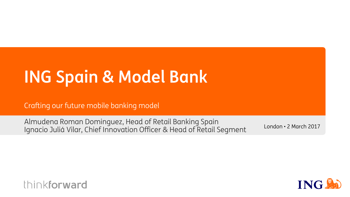# **ING Spain & Model Bank**

Crafting our future mobile banking model

Almudena Roman Dominguez, Head of Retail Banking Spain Ignacio Juliá Vilar, Chief Innovation Officer & Head of Retail Segment London • 2 March 2017



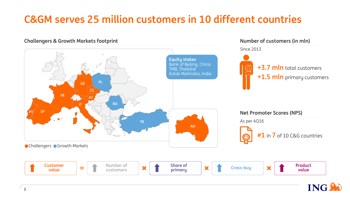### **C&GM serves 25 million customers in 10 different countries**



**ING!**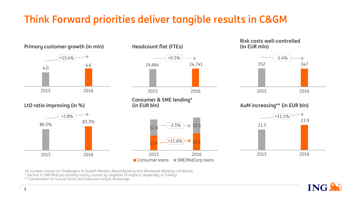### **Think Forward priorities deliver tangible results in C&GM**













**(in EUR bln) AuM increasing\*\* (in EUR bln)**



All numbers based on Challengers & Growth Markets (Retail Banking and Wholesale Banking combined)

\* Decline in SME/MidCorp lending mostly caused by negative FX impacts (especially in Turkey)

\*\* Combination of mutual funds and Execution only/E-Brokerage

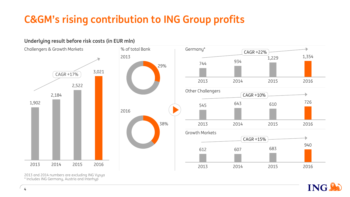## **C&GM's rising contribution to ING Group profits**



**Underlying result before risk costs (in EUR mln)**

2013 and 2014 numbers are excluding ING Vysya \* Includes ING Germany, Austria and Interhyp

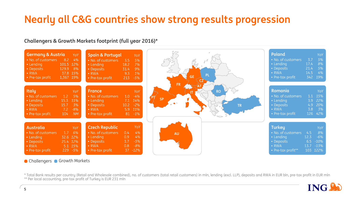### **Nearly all C&G countries show strong results progression**

#### **Challengers & Growth Markets footprint (full year 2016)\***



#### Challengers Growth Markets

\* Total Bank results per country (Retail and Wholesale combined), no. of customers (total retail customers) in mln, lending (excl. LLP), deposits and RWA in EUR bln, pre-tax profit in EUR mln \*\* Per local accounting, pre-tax profit of Turkey is EUR 231 mln

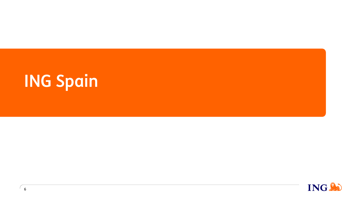# **ING Spain**

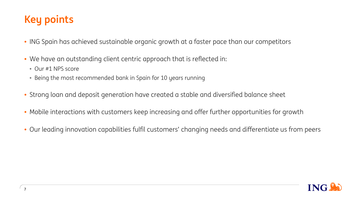### **Key points**

- ING Spain has achieved sustainable organic growth at a faster pace than our competitors
- We have an outstanding client centric approach that is reflected in:
	- Our #1 NPS score
	- Being the most recommended bank in Spain for 10 years running
- Strong loan and deposit generation have created a stable and diversified balance sheet
- Mobile interactions with customers keep increasing and offer further opportunities for growth
- Our leading innovation capabilities fulfil customers' changing needs and differentiate us from peers

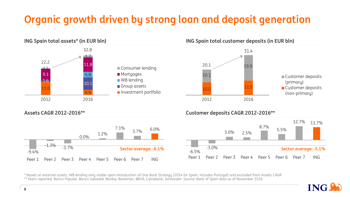## **Organic growth driven by strong loan and deposit generation**







#### **Assets CAGR 2012-2016\*\* Customer deposits CAGR 2012-2016\*\***



\* Based on external assets, WB lending only visible upon introduction of One Bank Strategy (2014 for Spain, includes Portugal) and excluded from Assets CAGR \*\* Peers reported: Banco Popular, Banco Sabadell, Bankia, Bankinter, BBVA, Caixabank, Santander. Source: Bank of Spain data as of November 2016

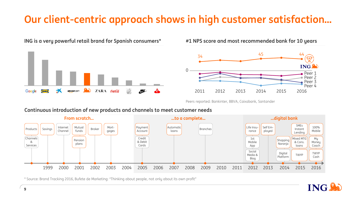### **Our client-centric approach shows in high customer satisfaction…**



**ING is a very powerful retail brand for Spanish consumers\* #1 NPS score and most recommended bank for 10 years**



Peers reported: Bankinter, BBVA, Caixabank, Santander

#### **From scratch… …to a complete… …digital bank** 1999 2000 2001 2002 2003 2004 2005 2006 2007 2008 2009 2010 2011 2012 2013 2014 2015 2016 Channels & Services Products Savings Internet Channel Mutual funds Pension plans Broker Mortgages Credit & Debit Cards Payment Account Automatic loans Branches My **Money** Coach TWYP Cash 100% Mobile Mixed MTG & Cons. loans TWYP SMEs Instant Lending Digital Platform Shopping Naranja Life Insurance Self Employed 1st Mobile App Social Media & Blog

**Continuous introduction of new products and channels to meet customer needs**

\* Source: Brand Tracking 2016, Bufete de Marketing: "Thinking about people, not only about its own profit"

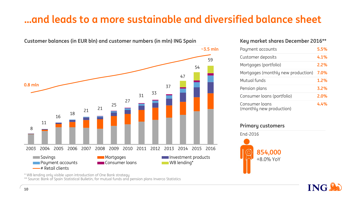### **…and leads to a more sustainable and diversified balance sheet**



#### **Key market shares December 2016\*\***

| Payment accounts                           | 5.5% |
|--------------------------------------------|------|
| Customer deposits                          | 4.1% |
| Mortgages (portfolio)                      | 2.2% |
| Mortgages (monthly new production)         | 7.0% |
| Mutual funds                               | 1.2% |
| Pension plans                              | 3.2% |
| Consumer loans (portfolio)                 | 2.0% |
| Consumer loans<br>(monthly new production) | 4.4% |

#### **Primary customers**



\* WB lending only visible upon introduction of One Bank strategy

\*\* Source: Bank of Spain Statistical Bulletin, for mutual funds and pension plans Inverco Statistics

**ING**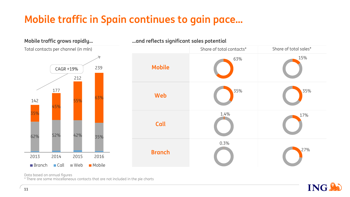## **Mobile traffic in Spain continues to gain pace…**





Data based on annual figures

\* There are some miscellaneous contacts that are not included in the pie charts

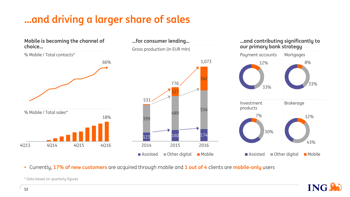## **…and driving a larger share of sales**



• Currently, **17% of new customers** are acquired through mobile and **1 out of 4** clients are **mobile-only** users



\* Data based on quarterly figures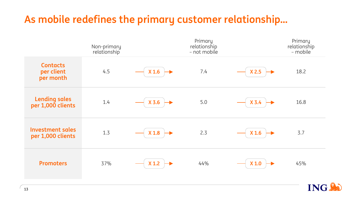### **As mobile redefines the primary customer relationship…**

|                                              | Non-primary<br>relationship |                  | Primary<br>relationship<br>- not mobile |                  | Primary<br>relationship<br>- mobile |
|----------------------------------------------|-----------------------------|------------------|-----------------------------------------|------------------|-------------------------------------|
| <b>Contacts</b><br>per client<br>per month   | 4.5                         | X <sub>1.6</sub> | 7.4                                     | X <sub>2.5</sub> | 18.2                                |
| <b>Lending sales</b><br>per 1,000 clients    | 1.4                         | $X$ 3.6          | 5.0                                     | $X$ 3.4          | 16.8                                |
| <b>Investment sales</b><br>per 1,000 clients | 1.3                         | X <sub>1.8</sub> | 2.3                                     | X <sub>1.6</sub> | 3.7                                 |
| <b>Promoters</b>                             | 37%                         | $X$ 1.2          | 44%                                     | X <sub>1.0</sub> | 45%                                 |

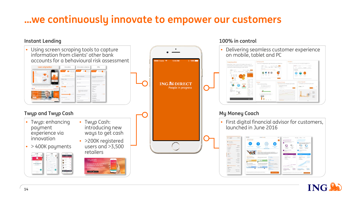#### **…we continuously innovate to empower our customers**

#### **Instant Lending**



**100% in control**

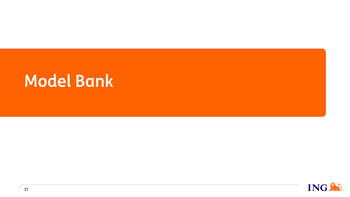# **Model Bank**

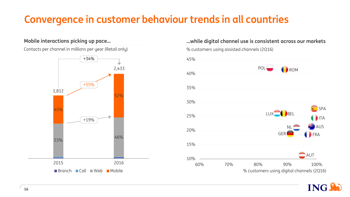### **Convergence in customer behaviour trends in all countries**

#### **Mobile interactions picking up pace…**

Contacts per channel in millions per year (Retail only)



#### **…while digital channel use is consistent across our markets**



**ING** 

% customers using assisted channels (2Q16)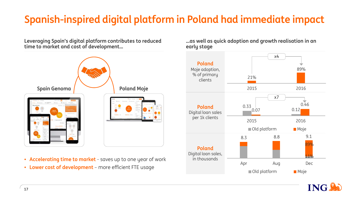## **Spanish-inspired digital platform in Poland had immediate impact**

**Leveraging Spain's digital platform contributes to reduced time to market and cost of development…** 



- **Accelerating time to market**  saves up to one year of work
- 

**…as well as quick adoption and growth realisation in an early stage**



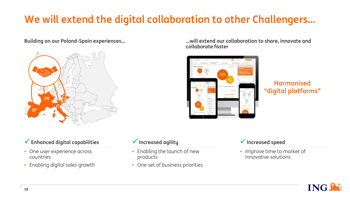## **We will extend the digital collaboration to other Challengers…**



**Building on our Poland-Spain experiences… …will extend our collaboration to share, innovate and collaborate faster**



**Harmonised "digital platforms"**

#### **Enhanced digital capabilities**

- One user experience across countries
- Enabling digital sales growth

#### **Increased agility**

- Enabling the launch of new products
- One set of business priorities

#### **Increased speed**

• Improve time to market of innovative solutions

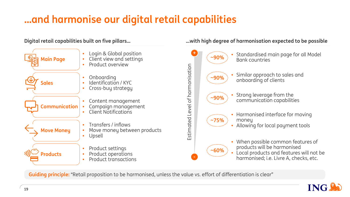## **…and harmonise our digital retail capabilities**

#### **Digital retail capabilities built on five pillars… …with high degree of harmonisation expected to be possible**



**Guiding principle:** "Retail proposition to be harmonised, unless the value vs. effort of differentiation is clear"

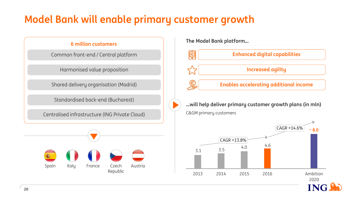### **Model Bank will enable primary customer growth**

Common front-end / Central platform

Harmonised value proposition

Shared delivery organisation (Madrid)

Standardised back-end (Bucharest)

Centralised infrastructure (ING Private Cloud)



**The Model Bank platform… 6 million customers**